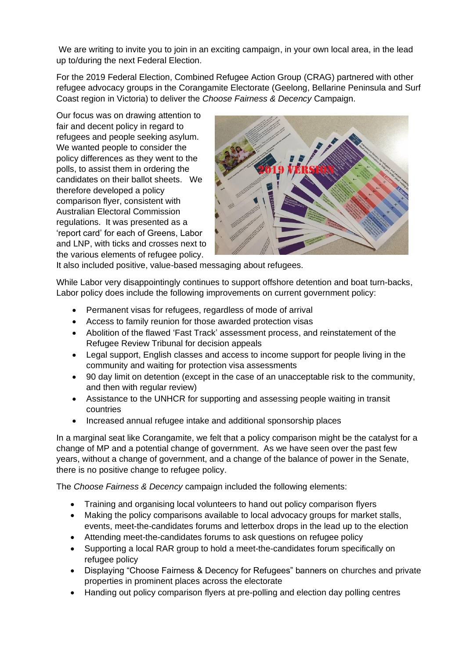We are writing to invite you to join in an exciting campaign, in your own local area, in the lead up to/during the next Federal Election.

For the 2019 Federal Election, Combined Refugee Action Group (CRAG) partnered with other refugee advocacy groups in the Corangamite Electorate (Geelong, Bellarine Peninsula and Surf Coast region in Victoria) to deliver the *Choose Fairness & Decency* Campaign.

Our focus was on drawing attention to fair and decent policy in regard to refugees and people seeking asylum. We wanted people to consider the policy differences as they went to the polls, to assist them in ordering the candidates on their ballot sheets. We therefore developed a policy comparison flyer, consistent with Australian Electoral Commission regulations. It was presented as a 'report card' for each of Greens, Labor and LNP, with ticks and crosses next to the various elements of refugee policy.



It also included positive, value-based messaging about refugees.

While Labor very disappointingly continues to support offshore detention and boat turn-backs, Labor policy does include the following improvements on current government policy:

- Permanent visas for refugees, regardless of mode of arrival
- Access to family reunion for those awarded protection visas
- Abolition of the flawed 'Fast Track' assessment process, and reinstatement of the Refugee Review Tribunal for decision appeals
- Legal support, English classes and access to income support for people living in the community and waiting for protection visa assessments
- 90 day limit on detention (except in the case of an unacceptable risk to the community, and then with regular review)
- Assistance to the UNHCR for supporting and assessing people waiting in transit countries
- Increased annual refugee intake and additional sponsorship places

In a marginal seat like Corangamite, we felt that a policy comparison might be the catalyst for a change of MP and a potential change of government. As we have seen over the past few years, without a change of government, and a change of the balance of power in the Senate, there is no positive change to refugee policy.

The *Choose Fairness & Decency* campaign included the following elements:

- Training and organising local volunteers to hand out policy comparison flyers
- Making the policy comparisons available to local advocacy groups for market stalls, events, meet-the-candidates forums and letterbox drops in the lead up to the election
- Attending meet-the-candidates forums to ask questions on refugee policy
- Supporting a local RAR group to hold a meet-the-candidates forum specifically on refugee policy
- Displaying "Choose Fairness & Decency for Refugees" banners on churches and private properties in prominent places across the electorate
- Handing out policy comparison flyers at pre-polling and election day polling centres